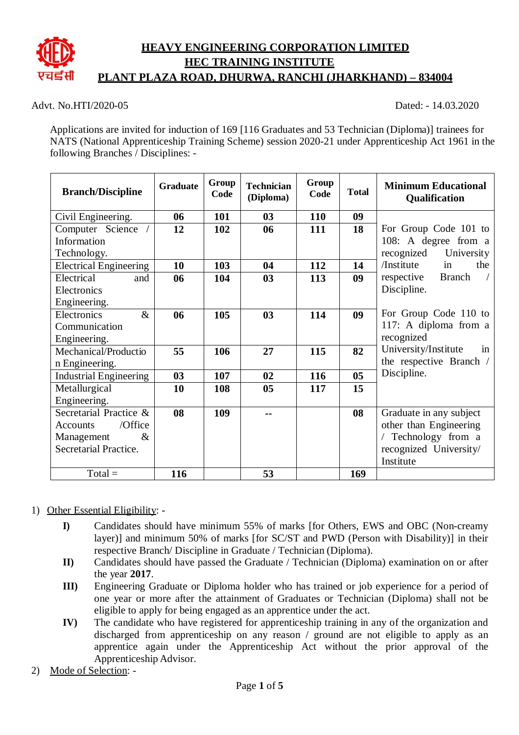

## **HEAVY ENGINEERING CORPORATION LIMITED HEC TRAINING INSTITUTE PLANT PLAZA ROAD, DHURWA, RANCHI (JHARKHAND) – 834004**

Advt. No.HTI/2020-05 Dated: - 14.03.2020

Applications are invited for induction of 169 [116 Graduates and 53 Technician (Diploma)] trainees for NATS (National Apprenticeship Training Scheme) session 2020-21 under Apprenticeship Act 1961 in the following Branches / Disciplines: -

| <b>Branch/Discipline</b>      | <b>Graduate</b> | Group<br>Code | <b>Technician</b><br>(Diploma) | Group<br>Code | <b>Total</b>   | <b>Minimum Educational</b><br><b>Qualification</b> |
|-------------------------------|-----------------|---------------|--------------------------------|---------------|----------------|----------------------------------------------------|
| Civil Engineering.            | 06              | 101           | 03                             | 110           | 09             |                                                    |
| Computer Science              | 12              | 102           | 06                             | 111           | 18             | For Group Code 101 to                              |
| Information                   |                 |               |                                |               |                | 108: A degree from a                               |
| Technology.                   |                 |               |                                |               |                | recognized<br>University                           |
| <b>Electrical Engineering</b> | 10              | 103           | 04                             | 112           | 14             | /Institute<br>in<br>the                            |
| Electrical<br>and             | 06              | 104           | 03                             | 113           | 09             | respective<br><b>Branch</b>                        |
| Electronics                   |                 |               |                                |               |                | Discipline.                                        |
| Engineering.                  |                 |               |                                |               |                |                                                    |
| $\&$<br>Electronics           | 06              | 105           | 03                             | 114           | 09             | For Group Code 110 to                              |
| Communication                 |                 |               |                                |               |                | 117: A diploma from a                              |
| Engineering.                  |                 |               |                                |               |                | recognized                                         |
| Mechanical/Productio          | 55              | 106           | 27                             | 115           | 82             | University/Institute<br>in                         |
| n Engineering.                |                 |               |                                |               |                | the respective Branch /                            |
| <b>Industrial Engineering</b> | 03              | 107           | 02                             | <b>116</b>    | 0 <sub>5</sub> | Discipline.                                        |
| Metallurgical                 | 10              | 108           | 0 <sub>5</sub>                 | 117           | 15             |                                                    |
| Engineering.                  |                 |               |                                |               |                |                                                    |
| Secretarial Practice &        | 08              | 109           | $-$                            |               | 08             | Graduate in any subject                            |
| /Office<br><b>Accounts</b>    |                 |               |                                |               |                | other than Engineering                             |
| $\&$<br>Management            |                 |               |                                |               |                | / Technology from a                                |
| Secretarial Practice.         |                 |               |                                |               |                | recognized University/                             |
|                               |                 |               |                                |               |                | Institute                                          |
| $Total =$                     | 116             |               | 53                             |               | 169            |                                                    |

## 1) Other Essential Eligibility: -

- **I)** Candidates should have minimum 55% of marks [for Others, EWS and OBC (Non-creamy layer)] and minimum 50% of marks [for SC/ST and PWD (Person with Disability)] in their respective Branch/ Discipline in Graduate / Technician (Diploma).
- **II)** Candidates should have passed the Graduate / Technician (Diploma) examination on or after the year **2017**.
- **III)** Engineering Graduate or Diploma holder who has trained or job experience for a period of one year or more after the attainment of Graduates or Technician (Diploma) shall not be eligible to apply for being engaged as an apprentice under the act.
- **IV)** The candidate who have registered for apprenticeship training in any of the organization and discharged from apprenticeship on any reason / ground are not eligible to apply as an apprentice again under the Apprenticeship Act without the prior approval of the Apprenticeship Advisor.
- 2) Mode of Selection: -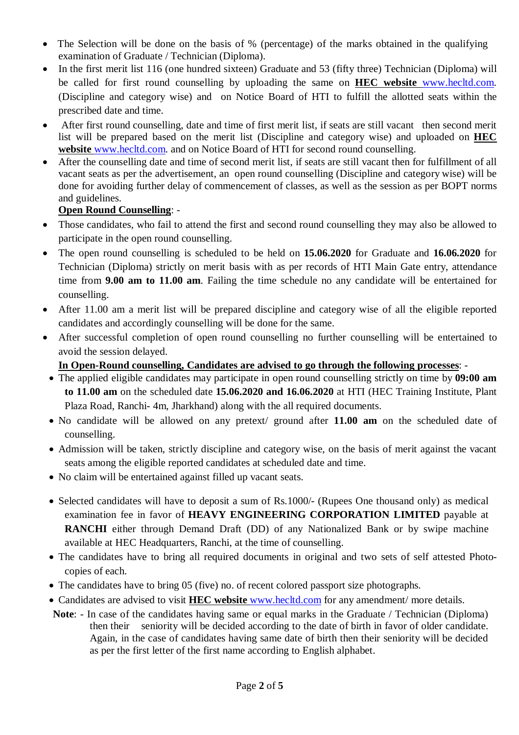- The Selection will be done on the basis of % (percentage) of the marks obtained in the qualifying examination of Graduate / Technician (Diploma).
- In the first merit list 116 (one hundred sixteen) Graduate and 53 (fifty three) Technician (Diploma) will be called for first round counselling by uploading the same on **HEC website** www.hecltd.com. (Discipline and category wise) and on Notice Board of HTI to fulfill the allotted seats within the prescribed date and time.
- After first round counselling, date and time of first merit list, if seats are still vacant then second merit list will be prepared based on the merit list (Discipline and category wise) and uploaded on **HEC website** www.hecltd.com. and on Notice Board of HTI for second round counselling.
- After the counselling date and time of second merit list, if seats are still vacant then for fulfillment of all vacant seats as per the advertisement, an open round counselling (Discipline and category wise) will be done for avoiding further delay of commencement of classes, as well as the session as per BOPT norms and guidelines.

## **Open Round Counselling**: -

- Those candidates, who fail to attend the first and second round counselling they may also be allowed to participate in the open round counselling.
- The open round counselling is scheduled to be held on **15.06.2020** for Graduate and **16.06.2020** for Technician (Diploma) strictly on merit basis with as per records of HTI Main Gate entry, attendance time from **9.00 am to 11.00 am**. Failing the time schedule no any candidate will be entertained for counselling.
- After 11.00 am a merit list will be prepared discipline and category wise of all the eligible reported candidates and accordingly counselling will be done for the same.
- After successful completion of open round counselling no further counselling will be entertained to avoid the session delayed.

**In Open-Round counselling, Candidates are advised to go through the following processes**: -

- The applied eligible candidates may participate in open round counselling strictly on time by **09:00 am to 11.00 am** on the scheduled date **15.06.2020 and 16.06.2020** at HTI (HEC Training Institute, Plant Plaza Road, Ranchi- 4m, Jharkhand) along with the all required documents.
- No candidate will be allowed on any pretext/ ground after **11.00 am** on the scheduled date of counselling.
- Admission will be taken, strictly discipline and category wise, on the basis of merit against the vacant seats among the eligible reported candidates at scheduled date and time.
- No claim will be entertained against filled up vacant seats.
- Selected candidates will have to deposit a sum of Rs.1000/- (Rupees One thousand only) as medical examination fee in favor of **HEAVY ENGINEERING CORPORATION LIMITED** payable at **RANCHI** either through Demand Draft (DD) of any Nationalized Bank or by swipe machine available at HEC Headquarters, Ranchi, at the time of counselling.
- The candidates have to bring all required documents in original and two sets of self attested Photocopies of each.
- The candidates have to bring 05 (five) no. of recent colored passport size photographs.
- Candidates are advised to visit **HEC website** www.hecltd.com for any amendment/ more details.
- **Note**: In case of the candidates having same or equal marks in the Graduate / Technician (Diploma) then their seniority will be decided according to the date of birth in favor of older candidate. Again, in the case of candidates having same date of birth then their seniority will be decided as per the first letter of the first name according to English alphabet.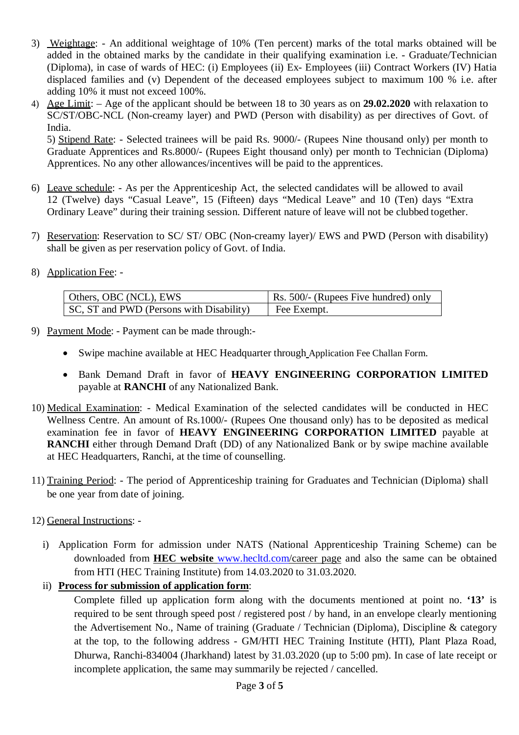- 3) Weightage: An additional weightage of 10% (Ten percent) marks of the total marks obtained will be added in the obtained marks by the candidate in their qualifying examination i.e. - Graduate/Technician (Diploma), in case of wards of HEC: (i) Employees (ii) Ex- Employees (iii) Contract Workers (IV) Hatia displaced families and (v) Dependent of the deceased employees subject to maximum 100 % i.e. after adding 10% it must not exceed 100%.
- 4) Age Limit: Age of the applicant should be between 18 to 30 years as on **29.02.2020** with relaxation to SC/ST/OBC-NCL (Non-creamy layer) and PWD (Person with disability) as per directives of Govt. of India.

5) Stipend Rate: - Selected trainees will be paid Rs. 9000/- (Rupees Nine thousand only) per month to Graduate Apprentices and Rs.8000/- (Rupees Eight thousand only) per month to Technician (Diploma) Apprentices. No any other allowances/incentives will be paid to the apprentices.

- 6) Leave schedule: As per the Apprenticeship Act, the selected candidates will be allowed to avail 12 (Twelve) days "Casual Leave", 15 (Fifteen) days "Medical Leave" and 10 (Ten) days "Extra Ordinary Leave" during their training session. Different nature of leave will not be clubbed together.
- 7) Reservation: Reservation to SC/ ST/ OBC (Non-creamy layer)/ EWS and PWD (Person with disability) shall be given as per reservation policy of Govt. of India.
- 8) Application Fee: -

| Others, OBC (NCL), EWS                   | Rs. 500/- (Rupees Five hundred) only |
|------------------------------------------|--------------------------------------|
| SC, ST and PWD (Persons with Disability) | Fee Exempt.                          |

- 9) Payment Mode: Payment can be made through:-
	- Swipe machine available at HEC Headquarter through Application Fee Challan Form.
	- Bank Demand Draft in favor of **HEAVY ENGINEERING CORPORATION LIMITED** payable at **RANCHI** of any Nationalized Bank.
- 10) Medical Examination: Medical Examination of the selected candidates will be conducted in HEC Wellness Centre. An amount of Rs.1000/- (Rupees One thousand only) has to be deposited as medical examination fee in favor of **HEAVY ENGINEERING CORPORATION LIMITED** payable at **RANCHI** either through Demand Draft (DD) of any Nationalized Bank or by swipe machine available at HEC Headquarters, Ranchi, at the time of counselling.
- 11) Training Period: The period of Apprenticeship training for Graduates and Technician (Diploma) shall be one year from date of joining.
- 12) General Instructions:
	- i) Application Form for admission under NATS (National Apprenticeship Training Scheme) can be downloaded from **HEC website** www.hecltd.com/career page and also the same can be obtained from HTI (HEC Training Institute) from 14.03.2020 to 31.03.2020.
	- ii) **Process for submission of application form**:

Complete filled up application form along with the documents mentioned at point no. **'13'** is required to be sent through speed post / registered post / by hand, in an envelope clearly mentioning the Advertisement No., Name of training (Graduate / Technician (Diploma), Discipline & category at the top, to the following address - GM/HTI HEC Training Institute (HTI), Plant Plaza Road, Dhurwa, Ranchi-834004 (Jharkhand) latest by 31.03.2020 (up to 5:00 pm). In case of late receipt or incomplete application, the same may summarily be rejected / cancelled.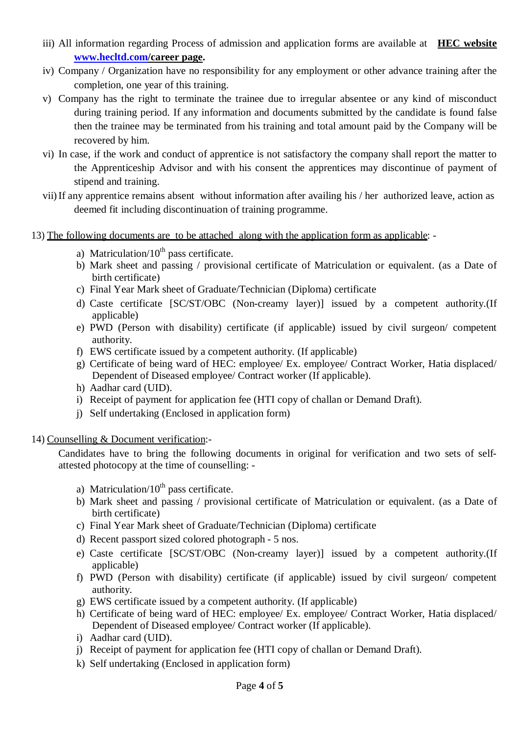- iii) All information regarding Process of admission and application forms are available at **HEC website www.hecltd.com/career page.**
- iv) Company / Organization have no responsibility for any employment or other advance training after the completion, one year of this training.
- v) Company has the right to terminate the trainee due to irregular absentee or any kind of misconduct during training period. If any information and documents submitted by the candidate is found false then the trainee may be terminated from his training and total amount paid by the Company will be recovered by him.
- vi) In case, if the work and conduct of apprentice is not satisfactory the company shall report the matter to the Apprenticeship Advisor and with his consent the apprentices may discontinue of payment of stipend and training.
- vii)If any apprentice remains absent without information after availing his / her authorized leave, action as deemed fit including discontinuation of training programme.
- 13) The following documents are to be attached along with the application form as applicable:
	- a) Matriculation/ $10^{th}$  pass certificate.
	- b) Mark sheet and passing / provisional certificate of Matriculation or equivalent. (as a Date of birth certificate)
	- c) Final Year Mark sheet of Graduate/Technician (Diploma) certificate
	- d) Caste certificate [SC/ST/OBC (Non-creamy layer)] issued by a competent authority.(If applicable)
	- e) PWD (Person with disability) certificate (if applicable) issued by civil surgeon/ competent authority.
	- f) EWS certificate issued by a competent authority. (If applicable)
	- g) Certificate of being ward of HEC: employee/ Ex. employee/ Contract Worker, Hatia displaced/ Dependent of Diseased employee/ Contract worker (If applicable).
	- h) Aadhar card (UID).
	- i) Receipt of payment for application fee (HTI copy of challan or Demand Draft).
	- j) Self undertaking (Enclosed in application form)

## 14) Counselling & Document verification:-

Candidates have to bring the following documents in original for verification and two sets of selfattested photocopy at the time of counselling: -

- a) Matriculation/ $10^{th}$  pass certificate.
- b) Mark sheet and passing / provisional certificate of Matriculation or equivalent. (as a Date of birth certificate)
- c) Final Year Mark sheet of Graduate/Technician (Diploma) certificate
- d) Recent passport sized colored photograph 5 nos.
- e) Caste certificate [SC/ST/OBC (Non-creamy layer)] issued by a competent authority.(If applicable)
- f) PWD (Person with disability) certificate (if applicable) issued by civil surgeon/ competent authority.
- g) EWS certificate issued by a competent authority. (If applicable)
- h) Certificate of being ward of HEC: employee/ Ex. employee/ Contract Worker, Hatia displaced/ Dependent of Diseased employee/ Contract worker (If applicable).
- i) Aadhar card (UID).
- j) Receipt of payment for application fee (HTI copy of challan or Demand Draft).
- k) Self undertaking (Enclosed in application form)